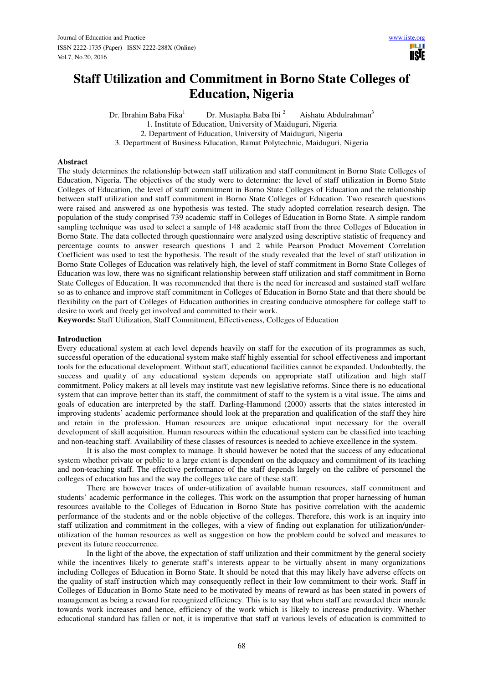**TISIE** 

# **Staff Utilization and Commitment in Borno State Colleges of Education, Nigeria**

Dr. Ibrahim Baba Fika<sup>1</sup>Dr. Mustapha Baba Ibi <sup>2</sup> Aishatu Abdulrahman<sup>3</sup> 1. Institute of Education, University of Maiduguri, Nigeria 2. Department of Education, University of Maiduguri, Nigeria 3. Department of Business Education, Ramat Polytechnic, Maiduguri, Nigeria

#### **Abstract**

The study determines the relationship between staff utilization and staff commitment in Borno State Colleges of Education, Nigeria. The objectives of the study were to determine: the level of staff utilization in Borno State Colleges of Education, the level of staff commitment in Borno State Colleges of Education and the relationship between staff utilization and staff commitment in Borno State Colleges of Education. Two research questions were raised and answered as one hypothesis was tested. The study adopted correlation research design. The population of the study comprised 739 academic staff in Colleges of Education in Borno State. A simple random sampling technique was used to select a sample of 148 academic staff from the three Colleges of Education in Borno State. The data collected through questionnaire were analyzed using descriptive statistic of frequency and percentage counts to answer research questions 1 and 2 while Pearson Product Movement Correlation Coefficient was used to test the hypothesis. The result of the study revealed that the level of staff utilization in Borno State Colleges of Education was relatively high, the level of staff commitment in Borno State Colleges of Education was low, there was no significant relationship between staff utilization and staff commitment in Borno State Colleges of Education. It was recommended that there is the need for increased and sustained staff welfare so as to enhance and improve staff commitment in Colleges of Education in Borno State and that there should be flexibility on the part of Colleges of Education authorities in creating conducive atmosphere for college staff to desire to work and freely get involved and committed to their work.

**Keywords:** Staff Utilization, Staff Commitment, Effectiveness, Colleges of Education

#### **Introduction**

Every educational system at each level depends heavily on staff for the execution of its programmes as such, successful operation of the educational system make staff highly essential for school effectiveness and important tools for the educational development. Without staff, educational facilities cannot be expanded. Undoubtedly, the success and quality of any educational system depends on appropriate staff utilization and high staff commitment. Policy makers at all levels may institute vast new legislative reforms. Since there is no educational system that can improve better than its staff, the commitment of staff to the system is a vital issue. The aims and goals of education are interpreted by the staff. Darling-Hammond (2000) asserts that the states interested in improving students' academic performance should look at the preparation and qualification of the staff they hire and retain in the profession. Human resources are unique educational input necessary for the overall development of skill acquisition. Human resources within the educational system can be classified into teaching and non-teaching staff. Availability of these classes of resources is needed to achieve excellence in the system.

It is also the most complex to manage. It should however be noted that the success of any educational system whether private or public to a large extent is dependent on the adequacy and commitment of its teaching and non-teaching staff. The effective performance of the staff depends largely on the calibre of personnel the colleges of education has and the way the colleges take care of these staff.

There are however traces of under-utilization of available human resources, staff commitment and students' academic performance in the colleges. This work on the assumption that proper harnessing of human resources available to the Colleges of Education in Borno State has positive correlation with the academic performance of the students and or the noble objective of the colleges. Therefore, this work is an inquiry into staff utilization and commitment in the colleges, with a view of finding out explanation for utilization/underutilization of the human resources as well as suggestion on how the problem could be solved and measures to prevent its future reoccurrence.

In the light of the above, the expectation of staff utilization and their commitment by the general society while the incentives likely to generate staff's interests appear to be virtually absent in many organizations including Colleges of Education in Borno State. It should be noted that this may likely have adverse effects on the quality of staff instruction which may consequently reflect in their low commitment to their work. Staff in Colleges of Education in Borno State need to be motivated by means of reward as has been stated in powers of management as being a reward for recognized efficiency. This is to say that when staff are rewarded their morale towards work increases and hence, efficiency of the work which is likely to increase productivity. Whether educational standard has fallen or not, it is imperative that staff at various levels of education is committed to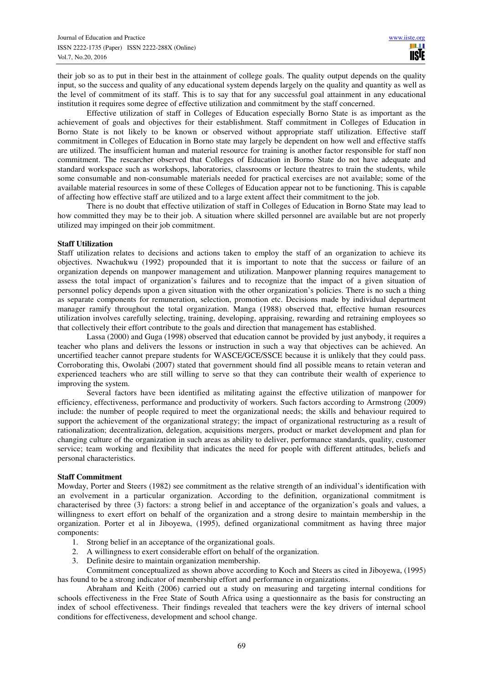their job so as to put in their best in the attainment of college goals. The quality output depends on the quality input, so the success and quality of any educational system depends largely on the quality and quantity as well as the level of commitment of its staff. This is to say that for any successful goal attainment in any educational institution it requires some degree of effective utilization and commitment by the staff concerned.

Effective utilization of staff in Colleges of Education especially Borno State is as important as the achievement of goals and objectives for their establishment. Staff commitment in Colleges of Education in Borno State is not likely to be known or observed without appropriate staff utilization. Effective staff commitment in Colleges of Education in Borno state may largely be dependent on how well and effective staffs are utilized. The insufficient human and material resource for training is another factor responsible for staff non commitment. The researcher observed that Colleges of Education in Borno State do not have adequate and standard workspace such as workshops, laboratories, classrooms or lecture theatres to train the students, while some consumable and non-consumable materials needed for practical exercises are not available; some of the available material resources in some of these Colleges of Education appear not to be functioning. This is capable of affecting how effective staff are utilized and to a large extent affect their commitment to the job.

There is no doubt that effective utilization of staff in Colleges of Education in Borno State may lead to how committed they may be to their job. A situation where skilled personnel are available but are not properly utilized may impinged on their job commitment.

#### **Staff Utilization**

Staff utilization relates to decisions and actions taken to employ the staff of an organization to achieve its objectives. Nwachukwu (1992) propounded that it is important to note that the success or failure of an organization depends on manpower management and utilization. Manpower planning requires management to assess the total impact of organization's failures and to recognize that the impact of a given situation of personnel policy depends upon a given situation with the other organization's policies. There is no such a thing as separate components for remuneration, selection, promotion etc. Decisions made by individual department manager ramify throughout the total organization. Manga (1988) observed that, effective human resources utilization involves carefully selecting, training, developing, appraising, rewarding and retraining employees so that collectively their effort contribute to the goals and direction that management has established.

Lassa (2000) and Guga (1998) observed that education cannot be provided by just anybody, it requires a teacher who plans and delivers the lessons or instruction in such a way that objectives can be achieved. An uncertified teacher cannot prepare students for WASCE/GCE/SSCE because it is unlikely that they could pass. Corroborating this, Owolabi (2007) stated that government should find all possible means to retain veteran and experienced teachers who are still willing to serve so that they can contribute their wealth of experience to improving the system.

Several factors have been identified as militating against the effective utilization of manpower for efficiency, effectiveness, performance and productivity of workers. Such factors according to Armstrong (2009) include: the number of people required to meet the organizational needs; the skills and behaviour required to support the achievement of the organizational strategy; the impact of organizational restructuring as a result of rationalization; decentralization, delegation, acquisitions mergers, product or market development and plan for changing culture of the organization in such areas as ability to deliver, performance standards, quality, customer service; team working and flexibility that indicates the need for people with different attitudes, beliefs and personal characteristics.

#### **Staff Commitment**

Mowday, Porter and Steers (1982) see commitment as the relative strength of an individual's identification with an evolvement in a particular organization. According to the definition, organizational commitment is characterised by three (3) factors: a strong belief in and acceptance of the organization's goals and values, a willingness to exert effort on behalf of the organization and a strong desire to maintain membership in the organization. Porter et al in Jiboyewa, (1995), defined organizational commitment as having three major components:

- 1. Strong belief in an acceptance of the organizational goals.
- 2. A willingness to exert considerable effort on behalf of the organization.
- 3. Definite desire to maintain organization membership.

Commitment conceptualized as shown above according to Koch and Steers as cited in Jiboyewa, (1995) has found to be a strong indicator of membership effort and performance in organizations.

Abraham and Keith (2006) carried out a study on measuring and targeting internal conditions for schools effectiveness in the Free State of South Africa using a questionnaire as the basis for constructing an index of school effectiveness. Their findings revealed that teachers were the key drivers of internal school conditions for effectiveness, development and school change.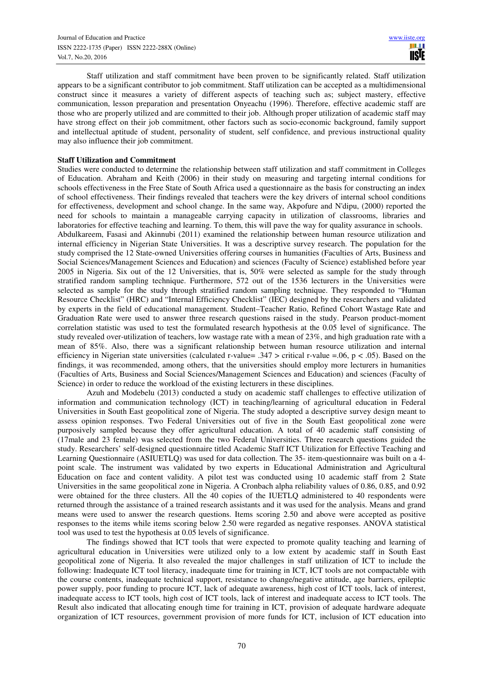Staff utilization and staff commitment have been proven to be significantly related. Staff utilization appears to be a significant contributor to job commitment. Staff utilization can be accepted as a multidimensional construct since it measures a variety of different aspects of teaching such as; subject mastery, effective communication, lesson preparation and presentation Onyeachu (1996). Therefore, effective academic staff are those who are properly utilized and are committed to their job. Although proper utilization of academic staff may have strong effect on their job commitment, other factors such as socio-economic background, family support and intellectual aptitude of student, personality of student, self confidence, and previous instructional quality may also influence their job commitment.

## **Staff Utilization and Commitment**

Studies were conducted to determine the relationship between staff utilization and staff commitment in Colleges of Education. Abraham and Keith (2006) in their study on measuring and targeting internal conditions for schools effectiveness in the Free State of South Africa used a questionnaire as the basis for constructing an index of school effectiveness. Their findings revealed that teachers were the key drivers of internal school conditions for effectiveness, development and school change. In the same way, Akpofure and N'dipu, (2000) reported the need for schools to maintain a manageable carrying capacity in utilization of classrooms, libraries and laboratories for effective teaching and learning. To them, this will pave the way for quality assurance in schools. Abdulkareem, Fasasi and Akinnubi (2011) examined the relationship between human resource utilization and internal efficiency in Nigerian State Universities. It was a descriptive survey research. The population for the study comprised the 12 State-owned Universities offering courses in humanities (Faculties of Arts, Business and Social Sciences/Management Sciences and Education) and sciences (Faculty of Science) established before year 2005 in Nigeria. Six out of the 12 Universities, that is, 50% were selected as sample for the study through stratified random sampling technique. Furthermore, 572 out of the 1536 lecturers in the Universities were selected as sample for the study through stratified random sampling technique. They responded to "Human Resource Checklist" (HRC) and "Internal Efficiency Checklist" (IEC) designed by the researchers and validated by experts in the field of educational management. Student–Teacher Ratio, Refined Cohort Wastage Rate and Graduation Rate were used to answer three research questions raised in the study. Pearson product-moment correlation statistic was used to test the formulated research hypothesis at the 0.05 level of significance. The study revealed over-utilization of teachers, low wastage rate with a mean of 23%, and high graduation rate with a mean of 85%. Also, there was a significant relationship between human resource utilization and internal efficiency in Nigerian state universities (calculated r-value= .347 > critical r-value = .06, p < .05). Based on the findings, it was recommended, among others, that the universities should employ more lecturers in humanities (Faculties of Arts, Business and Social Sciences/Management Sciences and Education) and sciences (Faculty of Science) in order to reduce the workload of the existing lecturers in these disciplines.

Azuh and Modebelu (2013) conducted a study on academic staff challenges to effective utilization of information and communication technology (ICT) in teaching/learning of agricultural education in Federal Universities in South East geopolitical zone of Nigeria. The study adopted a descriptive survey design meant to assess opinion responses. Two Federal Universities out of five in the South East geopolitical zone were purposively sampled because they offer agricultural education. A total of 40 academic staff consisting of (17male and 23 female) was selected from the two Federal Universities. Three research questions guided the study. Researchers' self-designed questionnaire titled Academic Staff ICT Utilization for Effective Teaching and Learning Questionnaire (ASIUETLQ) was used for data collection. The 35- item-questionnaire was built on a 4 point scale. The instrument was validated by two experts in Educational Administration and Agricultural Education on face and content validity. A pilot test was conducted using 10 academic staff from 2 State Universities in the same geopolitical zone in Nigeria. A Cronbach alpha reliability values of 0.86, 0.85, and 0.92 were obtained for the three clusters. All the 40 copies of the IUETLQ administered to 40 respondents were returned through the assistance of a trained research assistants and it was used for the analysis. Means and grand means were used to answer the research questions. Items scoring 2.50 and above were accepted as positive responses to the items while items scoring below 2.50 were regarded as negative responses. ANOVA statistical tool was used to test the hypothesis at 0.05 levels of significance.

The findings showed that ICT tools that were expected to promote quality teaching and learning of agricultural education in Universities were utilized only to a low extent by academic staff in South East geopolitical zone of Nigeria. It also revealed the major challenges in staff utilization of ICT to include the following: Inadequate ICT tool literacy, inadequate time for training in ICT, ICT tools are not compactable with the course contents, inadequate technical support, resistance to change/negative attitude, age barriers, epileptic power supply, poor funding to procure ICT, lack of adequate awareness, high cost of ICT tools, lack of interest, inadequate access to ICT tools, high cost of ICT tools, lack of interest and inadequate access to ICT tools. The Result also indicated that allocating enough time for training in ICT, provision of adequate hardware adequate organization of ICT resources, government provision of more funds for ICT, inclusion of ICT education into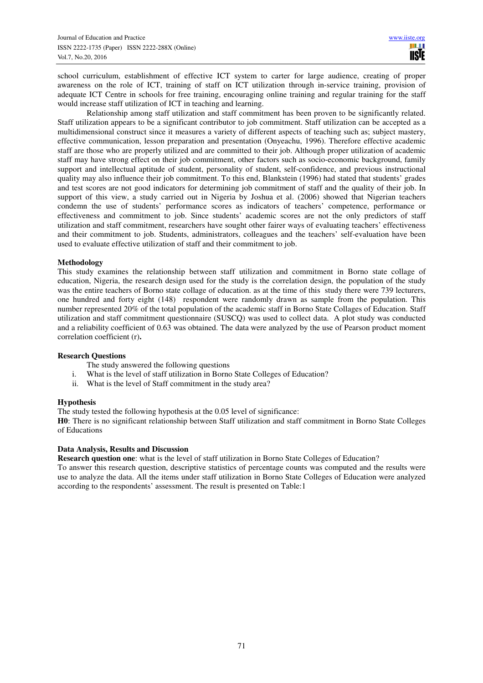school curriculum, establishment of effective ICT system to carter for large audience, creating of proper awareness on the role of ICT, training of staff on ICT utilization through in-service training, provision of adequate ICT Centre in schools for free training, encouraging online training and regular training for the staff would increase staff utilization of ICT in teaching and learning.

Relationship among staff utilization and staff commitment has been proven to be significantly related. Staff utilization appears to be a significant contributor to job commitment. Staff utilization can be accepted as a multidimensional construct since it measures a variety of different aspects of teaching such as; subject mastery, effective communication, lesson preparation and presentation (Onyeachu, 1996). Therefore effective academic staff are those who are properly utilized and are committed to their job. Although proper utilization of academic staff may have strong effect on their job commitment, other factors such as socio-economic background, family support and intellectual aptitude of student, personality of student, self-confidence, and previous instructional quality may also influence their job commitment. To this end, Blankstein (1996) had stated that students' grades and test scores are not good indicators for determining job commitment of staff and the quality of their job. In support of this view, a study carried out in Nigeria by Joshua et al. (2006) showed that Nigerian teachers condemn the use of students' performance scores as indicators of teachers' competence, performance or effectiveness and commitment to job. Since students' academic scores are not the only predictors of staff utilization and staff commitment, researchers have sought other fairer ways of evaluating teachers' effectiveness and their commitment to job. Students, administrators, colleagues and the teachers' self-evaluation have been used to evaluate effective utilization of staff and their commitment to job.

## **Methodology**

This study examines the relationship between staff utilization and commitment in Borno state collage of education, Nigeria, the research design used for the study is the correlation design, the population of the study was the entire teachers of Borno state collage of education. as at the time of this study there were 739 lecturers, one hundred and forty eight (148) respondent were randomly drawn as sample from the population. This number represented 20% of the total population of the academic staff in Borno State Collages of Education. Staff utilization and staff commitment questionnaire (SUSCQ) was used to collect data. A plot study was conducted and a reliability coefficient of 0.63 was obtained. The data were analyzed by the use of Pearson product moment correlation coefficient (r)**.** 

## **Research Questions**

- The study answered the following questions
- i. What is the level of staff utilization in Borno State Colleges of Education?
- ii. What is the level of Staff commitment in the study area?

#### **Hypothesis**

The study tested the following hypothesis at the 0.05 level of significance:

**H0**: There is no significant relationship between Staff utilization and staff commitment in Borno State Colleges of Educations

## **Data Analysis, Results and Discussion**

**Research question one**: what is the level of staff utilization in Borno State Colleges of Education?

To answer this research question, descriptive statistics of percentage counts was computed and the results were use to analyze the data. All the items under staff utilization in Borno State Colleges of Education were analyzed according to the respondents' assessment. The result is presented on Table:1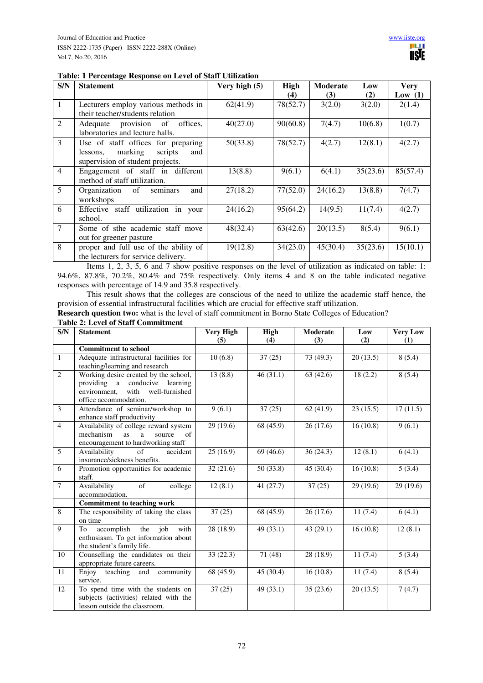| S/N            | <b>Statement</b>                      | Very high (5) | High     | Moderate | Low      | <b>Very</b> |
|----------------|---------------------------------------|---------------|----------|----------|----------|-------------|
|                |                                       |               | (4)      | (3)      | (2)      | Low $(1)$   |
| 1              | Lecturers employ various methods in   | 62(41.9)      | 78(52.7) | 3(2.0)   | 3(2.0)   | 2(1.4)      |
|                | their teacher/students relation       |               |          |          |          |             |
| 2              | offices.<br>Adequate provision of     | 40(27.0)      | 90(60.8) | 7(4.7)   | 10(6.8)  | 1(0.7)      |
|                | laboratories and lecture halls.       |               |          |          |          |             |
| 3              | Use of staff offices for preparing    | 50(33.8)      | 78(52.7) | 4(2.7)   | 12(8.1)  | 4(2.7)      |
|                | marking<br>scripts<br>lessons,<br>and |               |          |          |          |             |
|                | supervision of student projects.      |               |          |          |          |             |
| $\overline{4}$ | Engagement of staff in different      | 13(8.8)       | 9(6.1)   | 6(4.1)   | 35(23.6) | 85(57.4)    |
|                | method of staff utilization.          |               |          |          |          |             |
| 5              | and<br>Organization of<br>seminars    | 27(18.2)      | 77(52.0) | 24(16.2) | 13(8.8)  | 7(4.7)      |
|                | workshops                             |               |          |          |          |             |
| 6              | Effective staff utilization in your   | 24(16.2)      | 95(64.2) | 14(9.5)  | 11(7.4)  | 4(2.7)      |
|                | school.                               |               |          |          |          |             |
| $\tau$         | Some of sthe academic staff move      | 48(32.4)      | 63(42.6) | 20(13.5) | 8(5.4)   | 9(6.1)      |
|                | out for greener pasture               |               |          |          |          |             |
| 8              | proper and full use of the ability of | 19(12.8)      | 34(23.0) | 45(30.4) | 35(23.6) | 15(10.1)    |
|                | the lecturers for service delivery.   |               |          |          |          |             |

Items 1, 2, 3, 5, 6 and 7 show positive responses on the level of utilization as indicated on table: 1: 94.6%, 87.8%, 70.2%, 80.4% and 75% respectively. Only items 4 and 8 on the table indicated negative responses with percentage of 14.9 and 35.8 respectively.

This result shows that the colleges are conscious of the need to utilize the academic staff hence, the provision of essential infrastructural facilities which are crucial for effective staff utilization.

**Research question two:** what is the level of staff commitment in Borno State Colleges of Education?

# **Table 2: Level of Staff Commitment**

| <b>Statement</b>                        | <b>Very High</b>                                                                                                                                                                                                                                                                                                                                                                                                                                                                                                                                                                                                                                                                                                                                                                                                                                                                                                                                | High                                                                                                             | <b>Moderate</b>                                                                                           | Low                                                                                                           | <b>Very Low</b>                                                                                                             |
|-----------------------------------------|-------------------------------------------------------------------------------------------------------------------------------------------------------------------------------------------------------------------------------------------------------------------------------------------------------------------------------------------------------------------------------------------------------------------------------------------------------------------------------------------------------------------------------------------------------------------------------------------------------------------------------------------------------------------------------------------------------------------------------------------------------------------------------------------------------------------------------------------------------------------------------------------------------------------------------------------------|------------------------------------------------------------------------------------------------------------------|-----------------------------------------------------------------------------------------------------------|---------------------------------------------------------------------------------------------------------------|-----------------------------------------------------------------------------------------------------------------------------|
|                                         | (5)                                                                                                                                                                                                                                                                                                                                                                                                                                                                                                                                                                                                                                                                                                                                                                                                                                                                                                                                             | (4)                                                                                                              | (3)                                                                                                       | (2)                                                                                                           | (1)                                                                                                                         |
|                                         |                                                                                                                                                                                                                                                                                                                                                                                                                                                                                                                                                                                                                                                                                                                                                                                                                                                                                                                                                 |                                                                                                                  |                                                                                                           |                                                                                                               |                                                                                                                             |
| Adequate infrastructural facilities for | 10(6.8)                                                                                                                                                                                                                                                                                                                                                                                                                                                                                                                                                                                                                                                                                                                                                                                                                                                                                                                                         | 37(25)                                                                                                           | 73 (49.3)                                                                                                 |                                                                                                               | 8(5.4)                                                                                                                      |
|                                         |                                                                                                                                                                                                                                                                                                                                                                                                                                                                                                                                                                                                                                                                                                                                                                                                                                                                                                                                                 |                                                                                                                  |                                                                                                           |                                                                                                               |                                                                                                                             |
|                                         |                                                                                                                                                                                                                                                                                                                                                                                                                                                                                                                                                                                                                                                                                                                                                                                                                                                                                                                                                 |                                                                                                                  |                                                                                                           |                                                                                                               | 8(5.4)                                                                                                                      |
|                                         |                                                                                                                                                                                                                                                                                                                                                                                                                                                                                                                                                                                                                                                                                                                                                                                                                                                                                                                                                 |                                                                                                                  |                                                                                                           |                                                                                                               |                                                                                                                             |
|                                         |                                                                                                                                                                                                                                                                                                                                                                                                                                                                                                                                                                                                                                                                                                                                                                                                                                                                                                                                                 |                                                                                                                  |                                                                                                           |                                                                                                               |                                                                                                                             |
|                                         |                                                                                                                                                                                                                                                                                                                                                                                                                                                                                                                                                                                                                                                                                                                                                                                                                                                                                                                                                 |                                                                                                                  |                                                                                                           |                                                                                                               |                                                                                                                             |
|                                         |                                                                                                                                                                                                                                                                                                                                                                                                                                                                                                                                                                                                                                                                                                                                                                                                                                                                                                                                                 |                                                                                                                  |                                                                                                           |                                                                                                               | 17(11.5)                                                                                                                    |
|                                         |                                                                                                                                                                                                                                                                                                                                                                                                                                                                                                                                                                                                                                                                                                                                                                                                                                                                                                                                                 |                                                                                                                  |                                                                                                           |                                                                                                               | 9(6.1)                                                                                                                      |
|                                         |                                                                                                                                                                                                                                                                                                                                                                                                                                                                                                                                                                                                                                                                                                                                                                                                                                                                                                                                                 |                                                                                                                  |                                                                                                           |                                                                                                               |                                                                                                                             |
|                                         |                                                                                                                                                                                                                                                                                                                                                                                                                                                                                                                                                                                                                                                                                                                                                                                                                                                                                                                                                 |                                                                                                                  |                                                                                                           |                                                                                                               |                                                                                                                             |
|                                         |                                                                                                                                                                                                                                                                                                                                                                                                                                                                                                                                                                                                                                                                                                                                                                                                                                                                                                                                                 |                                                                                                                  |                                                                                                           |                                                                                                               | 6(4.1)                                                                                                                      |
|                                         |                                                                                                                                                                                                                                                                                                                                                                                                                                                                                                                                                                                                                                                                                                                                                                                                                                                                                                                                                 |                                                                                                                  |                                                                                                           |                                                                                                               |                                                                                                                             |
|                                         |                                                                                                                                                                                                                                                                                                                                                                                                                                                                                                                                                                                                                                                                                                                                                                                                                                                                                                                                                 |                                                                                                                  |                                                                                                           |                                                                                                               | 5(3.4)                                                                                                                      |
| staff.                                  |                                                                                                                                                                                                                                                                                                                                                                                                                                                                                                                                                                                                                                                                                                                                                                                                                                                                                                                                                 |                                                                                                                  |                                                                                                           |                                                                                                               |                                                                                                                             |
| Availability<br>of<br>college           | 12(8.1)                                                                                                                                                                                                                                                                                                                                                                                                                                                                                                                                                                                                                                                                                                                                                                                                                                                                                                                                         | 41 (27.7)                                                                                                        | 37(25)                                                                                                    | 29 (19.6)                                                                                                     | 29 (19.6)                                                                                                                   |
| accommodation.                          |                                                                                                                                                                                                                                                                                                                                                                                                                                                                                                                                                                                                                                                                                                                                                                                                                                                                                                                                                 |                                                                                                                  |                                                                                                           |                                                                                                               |                                                                                                                             |
| <b>Commitment to teaching work</b>      |                                                                                                                                                                                                                                                                                                                                                                                                                                                                                                                                                                                                                                                                                                                                                                                                                                                                                                                                                 |                                                                                                                  |                                                                                                           |                                                                                                               |                                                                                                                             |
|                                         |                                                                                                                                                                                                                                                                                                                                                                                                                                                                                                                                                                                                                                                                                                                                                                                                                                                                                                                                                 | 68 (45.9)                                                                                                        | 26(17.6)                                                                                                  |                                                                                                               | 6(4.1)                                                                                                                      |
|                                         |                                                                                                                                                                                                                                                                                                                                                                                                                                                                                                                                                                                                                                                                                                                                                                                                                                                                                                                                                 |                                                                                                                  |                                                                                                           |                                                                                                               |                                                                                                                             |
|                                         |                                                                                                                                                                                                                                                                                                                                                                                                                                                                                                                                                                                                                                                                                                                                                                                                                                                                                                                                                 |                                                                                                                  |                                                                                                           |                                                                                                               | 12(8.1)                                                                                                                     |
|                                         |                                                                                                                                                                                                                                                                                                                                                                                                                                                                                                                                                                                                                                                                                                                                                                                                                                                                                                                                                 |                                                                                                                  |                                                                                                           |                                                                                                               |                                                                                                                             |
|                                         |                                                                                                                                                                                                                                                                                                                                                                                                                                                                                                                                                                                                                                                                                                                                                                                                                                                                                                                                                 |                                                                                                                  |                                                                                                           |                                                                                                               |                                                                                                                             |
|                                         |                                                                                                                                                                                                                                                                                                                                                                                                                                                                                                                                                                                                                                                                                                                                                                                                                                                                                                                                                 |                                                                                                                  |                                                                                                           |                                                                                                               | 5(3.4)                                                                                                                      |
|                                         |                                                                                                                                                                                                                                                                                                                                                                                                                                                                                                                                                                                                                                                                                                                                                                                                                                                                                                                                                 |                                                                                                                  |                                                                                                           |                                                                                                               | 8(5.4)                                                                                                                      |
|                                         |                                                                                                                                                                                                                                                                                                                                                                                                                                                                                                                                                                                                                                                                                                                                                                                                                                                                                                                                                 |                                                                                                                  |                                                                                                           |                                                                                                               |                                                                                                                             |
|                                         |                                                                                                                                                                                                                                                                                                                                                                                                                                                                                                                                                                                                                                                                                                                                                                                                                                                                                                                                                 |                                                                                                                  |                                                                                                           |                                                                                                               | 7(4.7)                                                                                                                      |
|                                         |                                                                                                                                                                                                                                                                                                                                                                                                                                                                                                                                                                                                                                                                                                                                                                                                                                                                                                                                                 |                                                                                                                  |                                                                                                           |                                                                                                               |                                                                                                                             |
|                                         |                                                                                                                                                                                                                                                                                                                                                                                                                                                                                                                                                                                                                                                                                                                                                                                                                                                                                                                                                 |                                                                                                                  |                                                                                                           |                                                                                                               |                                                                                                                             |
|                                         | <b>Commitment to school</b><br>teaching/learning and research<br>Working desire created by the school,<br>providing a conducive learning<br>with<br>well-furnished<br>environment,<br>office accommodation.<br>Attendance of seminar/workshop to<br>enhance staff productivity<br>Availability of college reward system<br>mechanism<br>source<br>$\sigma$ f<br><b>as</b><br>a<br>encouragement to hardworking staff<br>of<br>Availability<br>accident<br>insurance/sickness benefits.<br>Promotion opportunities for academic<br>The responsibility of taking the class<br>on time<br>accomplish<br>the<br>iob<br>with<br>To<br>enthusiasm. To get information about<br>the student's family life.<br>Counselling the candidates on their<br>appropriate future careers.<br>teaching<br>Enjoy<br>and<br>community<br>service.<br>To spend time with the students on<br>subjects (activities) related with the<br>lesson outside the classroom. | 13(8.8)<br>9(6.1)<br>29 (19.6)<br>25(16.9)<br>32(21.6)<br>37(25)<br>28 (18.9)<br>33(22.3)<br>68 (45.9)<br>37(25) | 46(31.1)<br>37(25)<br>68 (45.9)<br>69 (46.6)<br>50(33.8)<br>49 (33.1)<br>71 (48)<br>45(30.4)<br>49 (33.1) | 63(42.6)<br>62(41.9)<br>26(17.6)<br>36(24.3)<br>45 (30.4)<br>43 $(29.1)$<br>28 (18.9)<br>16(10.8)<br>35(23.6) | 20(13.5)<br>18(2.2)<br>23(15.5)<br>16(10.8)<br>12(8.1)<br>16(10.8)<br>11(7.4)<br>16(10.8)<br>11(7.4)<br>11(7.4)<br>20(13.5) |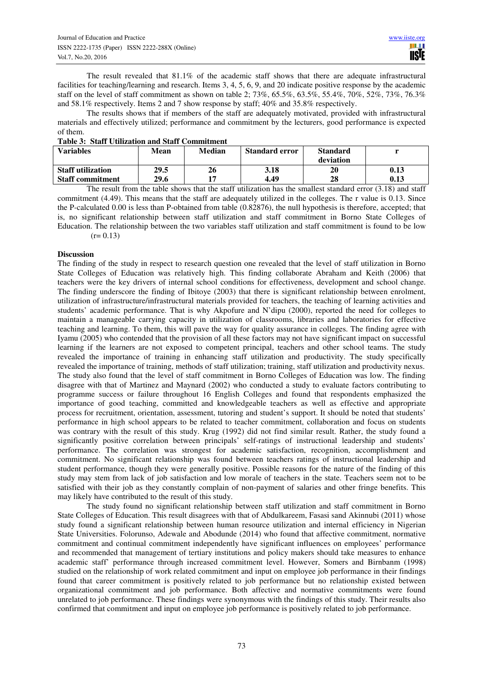The result revealed that 81.1% of the academic staff shows that there are adequate infrastructural facilities for teaching/learning and research. Items 3, 4, 5, 6, 9, and 20 indicate positive response by the academic staff on the level of staff commitment as shown on table 2; 73%, 65.5%, 63.5%, 55.4%, 70%, 52%, 73%, 76.3% and 58.1% respectively. Items 2 and 7 show response by staff; 40% and 35.8% respectively.

The results shows that if members of the staff are adequately motivated, provided with infrastructural materials and effectively utilized; performance and commitment by the lecturers, good performance is expected of them.

|  | <b>Table 3: Staff Utilization and Staff Commitment</b> |  |  |
|--|--------------------------------------------------------|--|--|
|--|--------------------------------------------------------|--|--|

| 1 www.compound.com/communication.com/communication/communication/ |      |               |                       |                 |      |  |  |
|-------------------------------------------------------------------|------|---------------|-----------------------|-----------------|------|--|--|
| <b>Variables</b>                                                  | Mean | <b>Median</b> | <b>Standard error</b> | <b>Standard</b> |      |  |  |
|                                                                   |      |               |                       | deviation       |      |  |  |
| <b>Staff utilization</b>                                          | 29.5 | 26            | 3.18                  | 20              | 0.13 |  |  |
| <b>Staff commitment</b>                                           | 29.6 |               | 4.49                  | 28              | 0.13 |  |  |

The result from the table shows that the staff utilization has the smallest standard error (3.18) and staff commitment (4.49). This means that the staff are adequately utilized in the colleges. The r value is 0.13. Since the P-calculated 0.00 is less than P-obtained from table (0.82876), the null hypothesis is therefore, accepted; that is, no significant relationship between staff utilization and staff commitment in Borno State Colleges of Education. The relationship between the two variables staff utilization and staff commitment is found to be low  $(r= 0.13)$ 

## **Discussion**

The finding of the study in respect to research question one revealed that the level of staff utilization in Borno State Colleges of Education was relatively high. This finding collaborate Abraham and Keith (2006) that teachers were the key drivers of internal school conditions for effectiveness, development and school change. The finding underscore the finding of Ibitoye (2003) that there is significant relationship between enrolment, utilization of infrastructure/infrastructural materials provided for teachers, the teaching of learning activities and students' academic performance. That is why Akpofure and N'dipu (2000), reported the need for colleges to maintain a manageable carrying capacity in utilization of classrooms, libraries and laboratories for effective teaching and learning. To them, this will pave the way for quality assurance in colleges. The finding agree with Iyamu (2005) who contended that the provision of all these factors may not have significant impact on successful learning if the learners are not exposed to competent principal, teachers and other school teams. The study revealed the importance of training in enhancing staff utilization and productivity. The study specifically revealed the importance of training, methods of staff utilization; training, staff utilization and productivity nexus. The study also found that the level of staff commitment in Borno Colleges of Education was low. The finding disagree with that of Martinez and Maynard (2002) who conducted a study to evaluate factors contributing to programme success or failure throughout 16 English Colleges and found that respondents emphasized the importance of good teaching, committed and knowledgeable teachers as well as effective and appropriate process for recruitment, orientation, assessment, tutoring and student's support. It should be noted that students' performance in high school appears to be related to teacher commitment, collaboration and focus on students was contrary with the result of this study. Krug (1992) did not find similar result. Rather, the study found a significantly positive correlation between principals' self-ratings of instructional leadership and students' performance. The correlation was strongest for academic satisfaction, recognition, accomplishment and commitment. No significant relationship was found between teachers ratings of instructional leadership and student performance, though they were generally positive. Possible reasons for the nature of the finding of this study may stem from lack of job satisfaction and low morale of teachers in the state. Teachers seem not to be satisfied with their job as they constantly complain of non-payment of salaries and other fringe benefits. This may likely have contributed to the result of this study.

The study found no significant relationship between staff utilization and staff commitment in Borno State Colleges of Education. This result disagrees with that of Abdulkareem, Fasasi sand Akinnubi (2011) whose study found a significant relationship between human resource utilization and internal efficiency in Nigerian State Universities. Folorunso, Adewale and Abodunde (2014) who found that affective commitment, normative commitment and continual commitment independently have significant influences on employees' performance and recommended that management of tertiary institutions and policy makers should take measures to enhance academic staff' performance through increased commitment level. However, Somers and Birnbanm (1998) studied on the relationship of work related commitment and input on employee job performance in their findings found that career commitment is positively related to job performance but no relationship existed between organizational commitment and job performance. Both affective and normative commitments were found unrelated to job performance. These findings were synonymous with the findings of this study. Their results also confirmed that commitment and input on employee job performance is positively related to job performance.